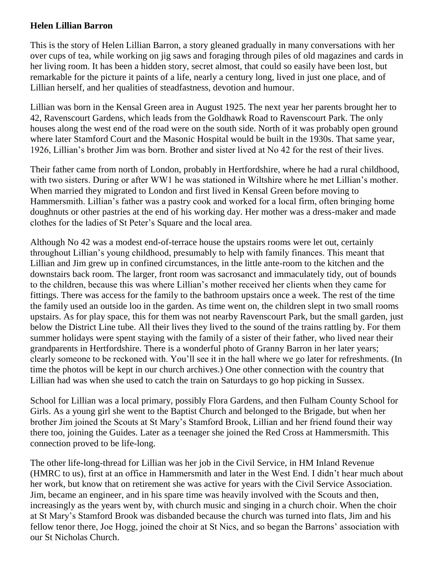## **Helen Lillian Barron**

This is the story of Helen Lillian Barron, a story gleaned gradually in many conversations with her over cups of tea, while working on jig saws and foraging through piles of old magazines and cards in her living room. It has been a hidden story, secret almost, that could so easily have been lost, but remarkable for the picture it paints of a life, nearly a century long, lived in just one place, and of Lillian herself, and her qualities of steadfastness, devotion and humour.

Lillian was born in the Kensal Green area in August 1925. The next year her parents brought her to 42, Ravenscourt Gardens, which leads from the Goldhawk Road to Ravenscourt Park. The only houses along the west end of the road were on the south side. North of it was probably open ground where later Stamford Court and the Masonic Hospital would be built in the 1930s. That same year, 1926, Lillian's brother Jim was born. Brother and sister lived at No 42 for the rest of their lives.

Their father came from north of London, probably in Hertfordshire, where he had a rural childhood, with two sisters. During or after WW1 he was stationed in Wiltshire where he met Lillian's mother. When married they migrated to London and first lived in Kensal Green before moving to Hammersmith. Lillian's father was a pastry cook and worked for a local firm, often bringing home doughnuts or other pastries at the end of his working day. Her mother was a dress-maker and made clothes for the ladies of St Peter's Square and the local area.

Although No 42 was a modest end-of-terrace house the upstairs rooms were let out, certainly throughout Lillian's young childhood, presumably to help with family finances. This meant that Lillian and Jim grew up in confined circumstances, in the little ante-room to the kitchen and the downstairs back room. The larger, front room was sacrosanct and immaculately tidy, out of bounds to the children, because this was where Lillian's mother received her clients when they came for fittings. There was access for the family to the bathroom upstairs once a week. The rest of the time the family used an outside loo in the garden. As time went on, the children slept in two small rooms upstairs. As for play space, this for them was not nearby Ravenscourt Park, but the small garden, just below the District Line tube. All their lives they lived to the sound of the trains rattling by. For them summer holidays were spent staying with the family of a sister of their father, who lived near their grandparents in Hertfordshire. There is a wonderful photo of Granny Barron in her later years; clearly someone to be reckoned with. You'll see it in the hall where we go later for refreshments. (In time the photos will be kept in our church archives.) One other connection with the country that Lillian had was when she used to catch the train on Saturdays to go hop picking in Sussex.

School for Lillian was a local primary, possibly Flora Gardens, and then Fulham County School for Girls. As a young girl she went to the Baptist Church and belonged to the Brigade, but when her brother Jim joined the Scouts at St Mary's Stamford Brook, Lillian and her friend found their way there too, joining the Guides. Later as a teenager she joined the Red Cross at Hammersmith. This connection proved to be life-long.

The other life-long-thread for Lillian was her job in the Civil Service, in HM Inland Revenue (HMRC to us), first at an office in Hammersmith and later in the West End. I didn't hear much about her work, but know that on retirement she was active for years with the Civil Service Association. Jim, became an engineer, and in his spare time was heavily involved with the Scouts and then, increasingly as the years went by, with church music and singing in a church choir. When the choir at St Mary's Stamford Brook was disbanded because the church was turned into flats, Jim and his fellow tenor there, Joe Hogg, joined the choir at St Nics, and so began the Barrons' association with our St Nicholas Church.